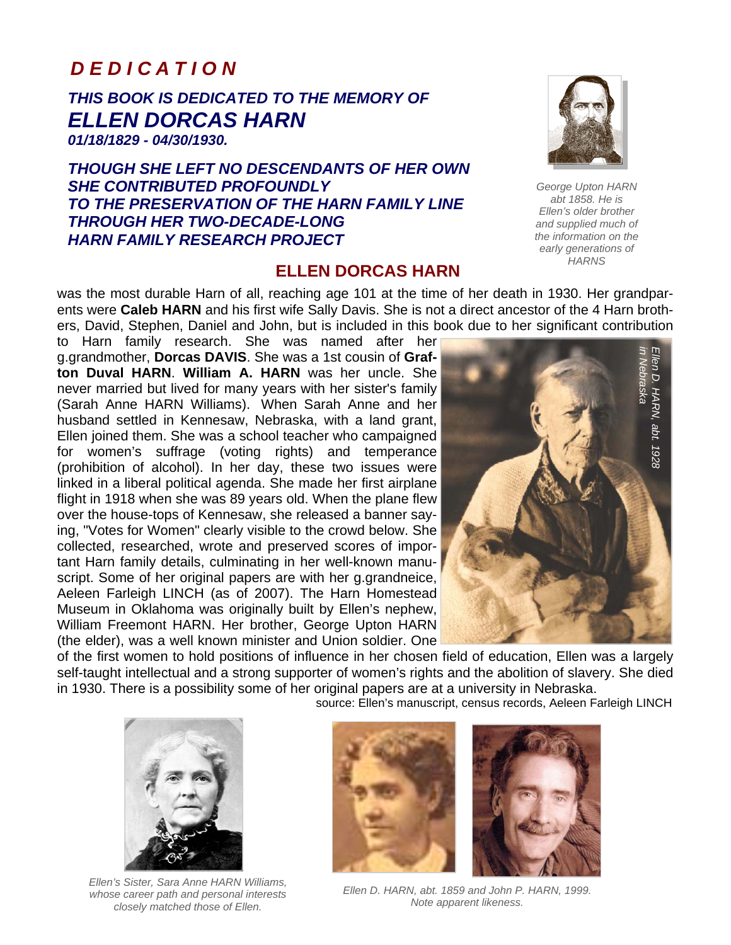### *D E D I C A T I O N*

# *THIS BOOK IS DEDICATED TO THE MEMORY OF ELLEN DORCAS HARN*

*01/18/1829 - 04/30/1930.* 

*THOUGH SHE LEFT NO DESCENDANTS OF HER OWN SHE CONTRIBUTED PROFOUNDLY TO THE PRESERVATION OF THE HARN FAMILY LINE THROUGH HER TWO-DECADE-LONG HARN FAMILY RESEARCH PROJECT* 

### **ELLEN DORCAS HARN**

was the most durable Harn of all, reaching age 101 at the time of her death in 1930. Her grandparents were **Caleb HARN** and his first wife Sally Davis. She is not a direct ancestor of the 4 Harn brothers, David, Stephen, Daniel and John, but is included in this book due to her significant contribution

to Harn family research. She was named after her g.grandmother, **Dorcas DAVIS**. She was a 1st cousin of **Grafton Duval HARN**. **William A. HARN** was her uncle. She never married but lived for many years with her sister's family (Sarah Anne HARN Williams). When Sarah Anne and her husband settled in Kennesaw, Nebraska, with a land grant, Ellen joined them. She was a school teacher who campaigned for women's suffrage (voting rights) and temperance (prohibition of alcohol). In her day, these two issues were linked in a liberal political agenda. She made her first airplane flight in 1918 when she was 89 years old. When the plane flew over the house-tops of Kennesaw, she released a banner saying, "Votes for Women" clearly visible to the crowd below. She collected, researched, wrote and preserved scores of important Harn family details, culminating in her well-known manuscript. Some of her original papers are with her g.grandneice, Aeleen Farleigh LINCH (as of 2007). The Harn Homestead Museum in Oklahoma was originally built by Ellen's nephew, William Freemont HARN. Her brother, George Upton HARN (the elder), was a well known minister and Union soldier. One



of the first women to hold positions of influence in her chosen field of education, Ellen was a largely self-taught intellectual and a strong supporter of women's rights and the abolition of slavery. She died in 1930. There is a possibility some of her original papers are at a university in Nebraska.

source: Ellen's manuscript, census records, Aeleen Farleigh LINCH



*Ellen's Sister, Sara Anne HARN Williams, whose career path and personal interests closely matched those of Ellen.* 





*Ellen D. HARN, abt. 1859 and John P. HARN, 1999. Note apparent likeness.* 



*George Upton HARN abt 1858. He is Ellen's older brother and supplied much of the information on the early generations of HARNS*